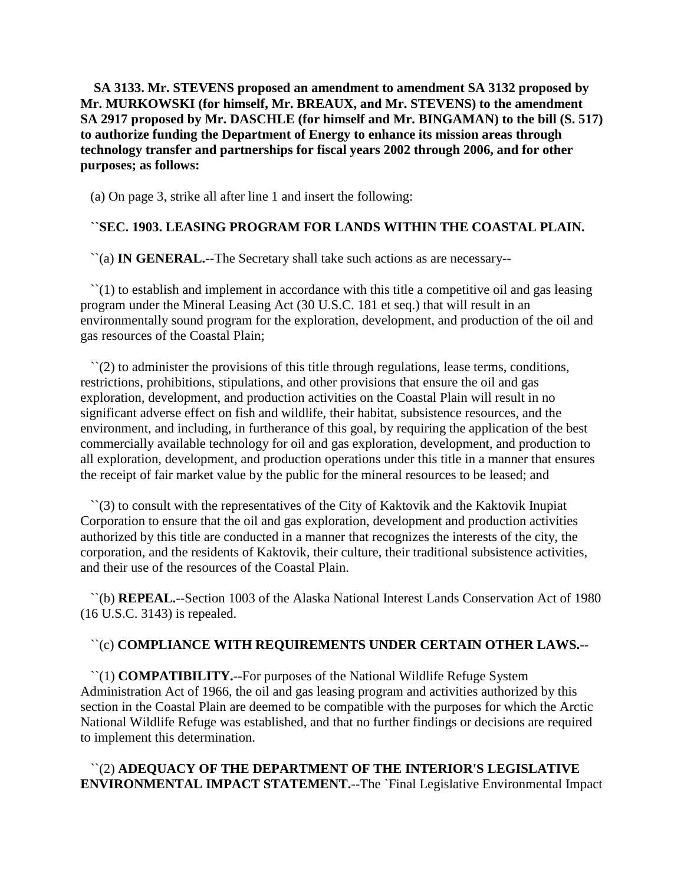**SA 3133. Mr. STEVENS proposed an amendment to amendment SA 3132 proposed by Mr. MURKOWSKI (for himself, Mr. BREAUX, and Mr. STEVENS) to the amendment SA 2917 proposed by Mr. DASCHLE (for himself and Mr. BINGAMAN) to the bill (S. 517) to authorize funding the Department of Energy to enhance its mission areas through technology transfer and partnerships for fiscal years 2002 through 2006, and for other purposes; as follows:**

(a) On page 3, strike all after line 1 and insert the following:

# **``SEC. 1903. LEASING PROGRAM FOR LANDS WITHIN THE COASTAL PLAIN.**

``(a) **IN GENERAL.**--The Secretary shall take such actions as are necessary--

 $\lq(1)$  to establish and implement in accordance with this title a competitive oil and gas leasing program under the Mineral Leasing Act (30 U.S.C. 181 et seq.) that will result in an environmentally sound program for the exploration, development, and production of the oil and gas resources of the Coastal Plain;

 $\Gamma(2)$  to administer the provisions of this title through regulations, lease terms, conditions, restrictions, prohibitions, stipulations, and other provisions that ensure the oil and gas exploration, development, and production activities on the Coastal Plain will result in no significant adverse effect on fish and wildlife, their habitat, subsistence resources, and the environment, and including, in furtherance of this goal, by requiring the application of the best commercially available technology for oil and gas exploration, development, and production to all exploration, development, and production operations under this title in a manner that ensures the receipt of fair market value by the public for the mineral resources to be leased; and

 ``(3) to consult with the representatives of the City of Kaktovik and the Kaktovik Inupiat Corporation to ensure that the oil and gas exploration, development and production activities authorized by this title are conducted in a manner that recognizes the interests of the city, the corporation, and the residents of Kaktovik, their culture, their traditional subsistence activities, and their use of the resources of the Coastal Plain.

 ``(b) **REPEAL.**--Section 1003 of the Alaska National Interest Lands Conservation Act of 1980 (16 U.S.C. 3143) is repealed.

# ``(c) **COMPLIANCE WITH REQUIREMENTS UNDER CERTAIN OTHER LAWS.**--

 ``(1) **COMPATIBILITY.**--For purposes of the National Wildlife Refuge System Administration Act of 1966, the oil and gas leasing program and activities authorized by this section in the Coastal Plain are deemed to be compatible with the purposes for which the Arctic National Wildlife Refuge was established, and that no further findings or decisions are required to implement this determination.

# ``(2) **ADEQUACY OF THE DEPARTMENT OF THE INTERIOR'S LEGISLATIVE ENVIRONMENTAL IMPACT STATEMENT.**--The `Final Legislative Environmental Impact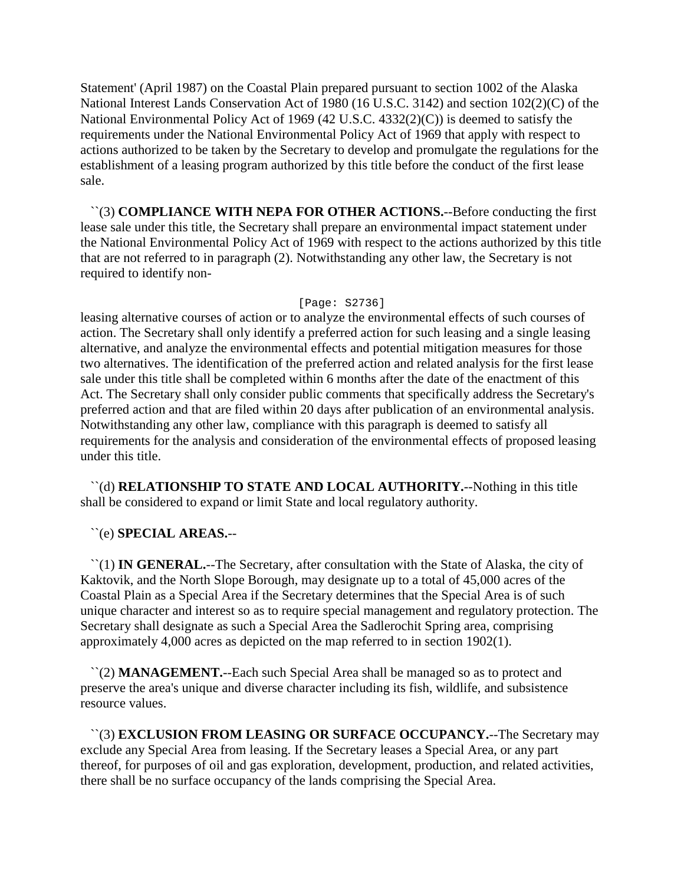Statement' (April 1987) on the Coastal Plain prepared pursuant to section 1002 of the Alaska National Interest Lands Conservation Act of 1980 (16 U.S.C. 3142) and section 102(2)(C) of the National Environmental Policy Act of 1969 (42 U.S.C. 4332(2)(C)) is deemed to satisfy the requirements under the National Environmental Policy Act of 1969 that apply with respect to actions authorized to be taken by the Secretary to develop and promulgate the regulations for the establishment of a leasing program authorized by this title before the conduct of the first lease sale.

 ``(3) **COMPLIANCE WITH NEPA FOR OTHER ACTIONS.**--Before conducting the first lease sale under this title, the Secretary shall prepare an environmental impact statement under the National Environmental Policy Act of 1969 with respect to the actions authorized by this title that are not referred to in paragraph (2). Notwithstanding any other law, the Secretary is not required to identify non-

#### [Page: S2736]

leasing alternative courses of action or to analyze the environmental effects of such courses of action. The Secretary shall only identify a preferred action for such leasing and a single leasing alternative, and analyze the environmental effects and potential mitigation measures for those two alternatives. The identification of the preferred action and related analysis for the first lease sale under this title shall be completed within 6 months after the date of the enactment of this Act. The Secretary shall only consider public comments that specifically address the Secretary's preferred action and that are filed within 20 days after publication of an environmental analysis. Notwithstanding any other law, compliance with this paragraph is deemed to satisfy all requirements for the analysis and consideration of the environmental effects of proposed leasing under this title.

 ``(d) **RELATIONSHIP TO STATE AND LOCAL AUTHORITY.**--Nothing in this title shall be considered to expand or limit State and local regulatory authority.

# ``(e) **SPECIAL AREAS.**--

 ``(1) **IN GENERAL.**--The Secretary, after consultation with the State of Alaska, the city of Kaktovik, and the North Slope Borough, may designate up to a total of 45,000 acres of the Coastal Plain as a Special Area if the Secretary determines that the Special Area is of such unique character and interest so as to require special management and regulatory protection. The Secretary shall designate as such a Special Area the Sadlerochit Spring area, comprising approximately 4,000 acres as depicted on the map referred to in section 1902(1).

 ``(2) **MANAGEMENT.**--Each such Special Area shall be managed so as to protect and preserve the area's unique and diverse character including its fish, wildlife, and subsistence resource values.

 ``(3) **EXCLUSION FROM LEASING OR SURFACE OCCUPANCY.**--The Secretary may exclude any Special Area from leasing. If the Secretary leases a Special Area, or any part thereof, for purposes of oil and gas exploration, development, production, and related activities, there shall be no surface occupancy of the lands comprising the Special Area.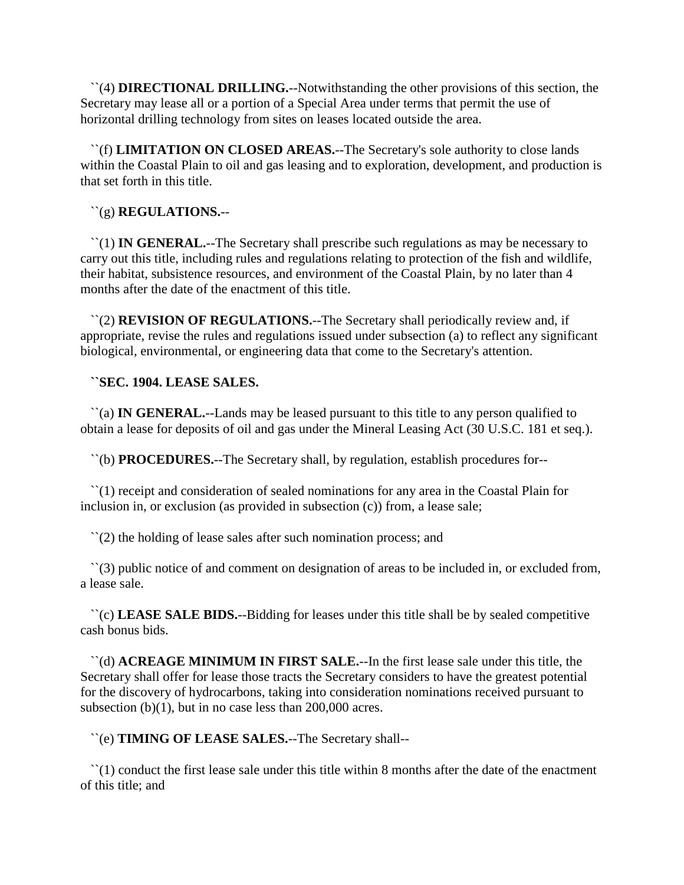``(4) **DIRECTIONAL DRILLING.**--Notwithstanding the other provisions of this section, the Secretary may lease all or a portion of a Special Area under terms that permit the use of horizontal drilling technology from sites on leases located outside the area.

 ``(f) **LIMITATION ON CLOSED AREAS.**--The Secretary's sole authority to close lands within the Coastal Plain to oil and gas leasing and to exploration, development, and production is that set forth in this title.

``(g) **REGULATIONS.**--

 ``(1) **IN GENERAL.**--The Secretary shall prescribe such regulations as may be necessary to carry out this title, including rules and regulations relating to protection of the fish and wildlife, their habitat, subsistence resources, and environment of the Coastal Plain, by no later than 4 months after the date of the enactment of this title.

 ``(2) **REVISION OF REGULATIONS.**--The Secretary shall periodically review and, if appropriate, revise the rules and regulations issued under subsection (a) to reflect any significant biological, environmental, or engineering data that come to the Secretary's attention.

# **``SEC. 1904. LEASE SALES.**

 ``(a) **IN GENERAL.**--Lands may be leased pursuant to this title to any person qualified to obtain a lease for deposits of oil and gas under the Mineral Leasing Act (30 U.S.C. 181 et seq.).

``(b) **PROCEDURES.**--The Secretary shall, by regulation, establish procedures for--

 ``(1) receipt and consideration of sealed nominations for any area in the Coastal Plain for inclusion in, or exclusion (as provided in subsection (c)) from, a lease sale;

``(2) the holding of lease sales after such nomination process; and

 ``(3) public notice of and comment on designation of areas to be included in, or excluded from, a lease sale.

 ``(c) **LEASE SALE BIDS.**--Bidding for leases under this title shall be by sealed competitive cash bonus bids.

 ``(d) **ACREAGE MINIMUM IN FIRST SALE.**--In the first lease sale under this title, the Secretary shall offer for lease those tracts the Secretary considers to have the greatest potential for the discovery of hydrocarbons, taking into consideration nominations received pursuant to subsection (b)(1), but in no case less than 200,000 acres.

``(e) **TIMING OF LEASE SALES.**--The Secretary shall--

 ``(1) conduct the first lease sale under this title within 8 months after the date of the enactment of this title; and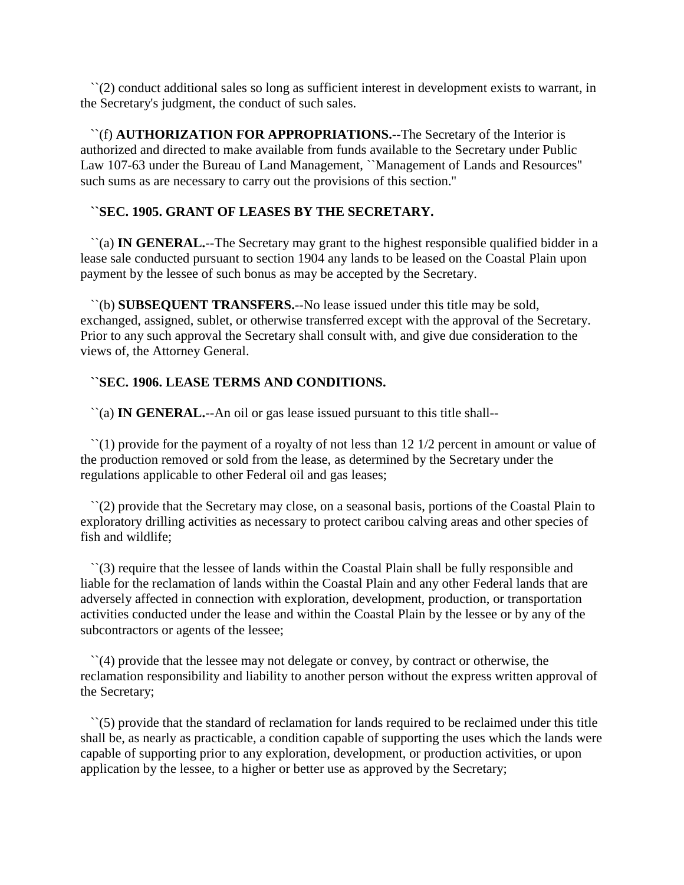``(2) conduct additional sales so long as sufficient interest in development exists to warrant, in the Secretary's judgment, the conduct of such sales.

 ``(f) **AUTHORIZATION FOR APPROPRIATIONS.**--The Secretary of the Interior is authorized and directed to make available from funds available to the Secretary under Public Law 107-63 under the Bureau of Land Management, ``Management of Lands and Resources'' such sums as are necessary to carry out the provisions of this section.''

# **``SEC. 1905. GRANT OF LEASES BY THE SECRETARY.**

 ``(a) **IN GENERAL.**--The Secretary may grant to the highest responsible qualified bidder in a lease sale conducted pursuant to section 1904 any lands to be leased on the Coastal Plain upon payment by the lessee of such bonus as may be accepted by the Secretary.

 ``(b) **SUBSEQUENT TRANSFERS.**--No lease issued under this title may be sold, exchanged, assigned, sublet, or otherwise transferred except with the approval of the Secretary. Prior to any such approval the Secretary shall consult with, and give due consideration to the views of, the Attorney General.

# **``SEC. 1906. LEASE TERMS AND CONDITIONS.**

``(a) **IN GENERAL.**--An oil or gas lease issued pursuant to this title shall--

 ``(1) provide for the payment of a royalty of not less than 12 1/2 percent in amount or value of the production removed or sold from the lease, as determined by the Secretary under the regulations applicable to other Federal oil and gas leases;

 ``(2) provide that the Secretary may close, on a seasonal basis, portions of the Coastal Plain to exploratory drilling activities as necessary to protect caribou calving areas and other species of fish and wildlife;

 ``(3) require that the lessee of lands within the Coastal Plain shall be fully responsible and liable for the reclamation of lands within the Coastal Plain and any other Federal lands that are adversely affected in connection with exploration, development, production, or transportation activities conducted under the lease and within the Coastal Plain by the lessee or by any of the subcontractors or agents of the lessee;

 ``(4) provide that the lessee may not delegate or convey, by contract or otherwise, the reclamation responsibility and liability to another person without the express written approval of the Secretary;

 $\hat{\ }$  (5) provide that the standard of reclamation for lands required to be reclaimed under this title shall be, as nearly as practicable, a condition capable of supporting the uses which the lands were capable of supporting prior to any exploration, development, or production activities, or upon application by the lessee, to a higher or better use as approved by the Secretary;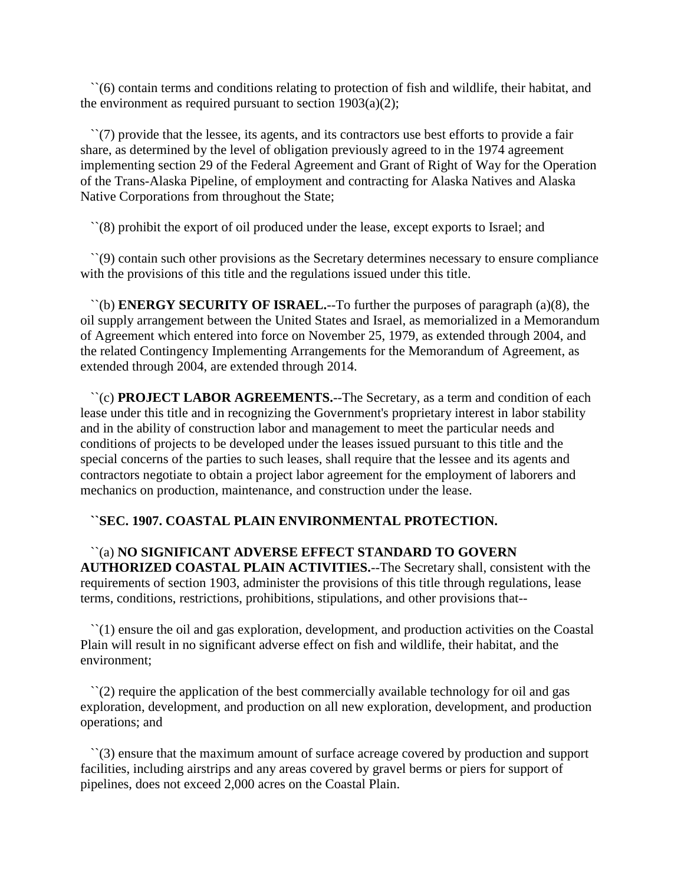``(6) contain terms and conditions relating to protection of fish and wildlife, their habitat, and the environment as required pursuant to section 1903(a)(2);

 ``(7) provide that the lessee, its agents, and its contractors use best efforts to provide a fair share, as determined by the level of obligation previously agreed to in the 1974 agreement implementing section 29 of the Federal Agreement and Grant of Right of Way for the Operation of the Trans-Alaska Pipeline, of employment and contracting for Alaska Natives and Alaska Native Corporations from throughout the State;

``(8) prohibit the export of oil produced under the lease, except exports to Israel; and

 ``(9) contain such other provisions as the Secretary determines necessary to ensure compliance with the provisions of this title and the regulations issued under this title.

 ``(b) **ENERGY SECURITY OF ISRAEL.**--To further the purposes of paragraph (a)(8), the oil supply arrangement between the United States and Israel, as memorialized in a Memorandum of Agreement which entered into force on November 25, 1979, as extended through 2004, and the related Contingency Implementing Arrangements for the Memorandum of Agreement, as extended through 2004, are extended through 2014.

 ``(c) **PROJECT LABOR AGREEMENTS.**--The Secretary, as a term and condition of each lease under this title and in recognizing the Government's proprietary interest in labor stability and in the ability of construction labor and management to meet the particular needs and conditions of projects to be developed under the leases issued pursuant to this title and the special concerns of the parties to such leases, shall require that the lessee and its agents and contractors negotiate to obtain a project labor agreement for the employment of laborers and mechanics on production, maintenance, and construction under the lease.

# **``SEC. 1907. COASTAL PLAIN ENVIRONMENTAL PROTECTION.**

 ``(a) **NO SIGNIFICANT ADVERSE EFFECT STANDARD TO GOVERN AUTHORIZED COASTAL PLAIN ACTIVITIES.**--The Secretary shall, consistent with the requirements of section 1903, administer the provisions of this title through regulations, lease terms, conditions, restrictions, prohibitions, stipulations, and other provisions that--

 ``(1) ensure the oil and gas exploration, development, and production activities on the Coastal Plain will result in no significant adverse effect on fish and wildlife, their habitat, and the environment;

 ``(2) require the application of the best commercially available technology for oil and gas exploration, development, and production on all new exploration, development, and production operations; and

 ``(3) ensure that the maximum amount of surface acreage covered by production and support facilities, including airstrips and any areas covered by gravel berms or piers for support of pipelines, does not exceed 2,000 acres on the Coastal Plain.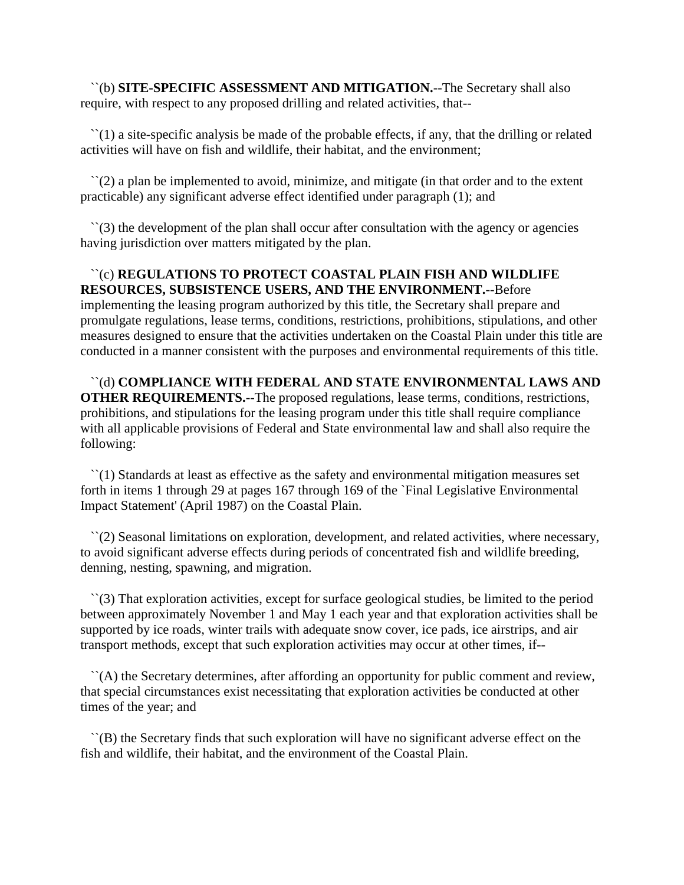``(b) **SITE-SPECIFIC ASSESSMENT AND MITIGATION.**--The Secretary shall also require, with respect to any proposed drilling and related activities, that--

 ``(1) a site-specific analysis be made of the probable effects, if any, that the drilling or related activities will have on fish and wildlife, their habitat, and the environment;

 $\Gamma(2)$  a plan be implemented to avoid, minimize, and mitigate (in that order and to the extent practicable) any significant adverse effect identified under paragraph (1); and

 $\Gamma(3)$  the development of the plan shall occur after consultation with the agency or agencies having jurisdiction over matters mitigated by the plan.

 ``(c) **REGULATIONS TO PROTECT COASTAL PLAIN FISH AND WILDLIFE RESOURCES, SUBSISTENCE USERS, AND THE ENVIRONMENT.**--Before implementing the leasing program authorized by this title, the Secretary shall prepare and promulgate regulations, lease terms, conditions, restrictions, prohibitions, stipulations, and other measures designed to ensure that the activities undertaken on the Coastal Plain under this title are conducted in a manner consistent with the purposes and environmental requirements of this title.

 ``(d) **COMPLIANCE WITH FEDERAL AND STATE ENVIRONMENTAL LAWS AND OTHER REQUIREMENTS.**--The proposed regulations, lease terms, conditions, restrictions, prohibitions, and stipulations for the leasing program under this title shall require compliance with all applicable provisions of Federal and State environmental law and shall also require the following:

 ``(1) Standards at least as effective as the safety and environmental mitigation measures set forth in items 1 through 29 at pages 167 through 169 of the `Final Legislative Environmental Impact Statement' (April 1987) on the Coastal Plain.

 ``(2) Seasonal limitations on exploration, development, and related activities, where necessary, to avoid significant adverse effects during periods of concentrated fish and wildlife breeding, denning, nesting, spawning, and migration.

 ``(3) That exploration activities, except for surface geological studies, be limited to the period between approximately November 1 and May 1 each year and that exploration activities shall be supported by ice roads, winter trails with adequate snow cover, ice pads, ice airstrips, and air transport methods, except that such exploration activities may occur at other times, if--

 ``(A) the Secretary determines, after affording an opportunity for public comment and review, that special circumstances exist necessitating that exploration activities be conducted at other times of the year; and

 ``(B) the Secretary finds that such exploration will have no significant adverse effect on the fish and wildlife, their habitat, and the environment of the Coastal Plain.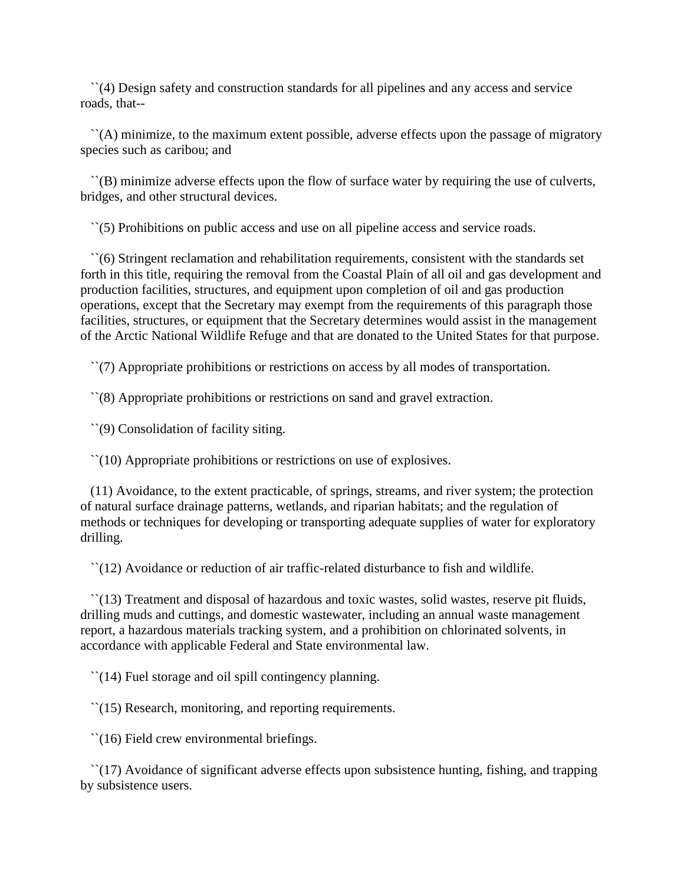``(4) Design safety and construction standards for all pipelines and any access and service roads, that--

 ``(A) minimize, to the maximum extent possible, adverse effects upon the passage of migratory species such as caribou; and

 ``(B) minimize adverse effects upon the flow of surface water by requiring the use of culverts, bridges, and other structural devices.

``(5) Prohibitions on public access and use on all pipeline access and service roads.

 ``(6) Stringent reclamation and rehabilitation requirements, consistent with the standards set forth in this title, requiring the removal from the Coastal Plain of all oil and gas development and production facilities, structures, and equipment upon completion of oil and gas production operations, except that the Secretary may exempt from the requirements of this paragraph those facilities, structures, or equipment that the Secretary determines would assist in the management of the Arctic National Wildlife Refuge and that are donated to the United States for that purpose.

``(7) Appropriate prohibitions or restrictions on access by all modes of transportation.

``(8) Appropriate prohibitions or restrictions on sand and gravel extraction.

``(9) Consolidation of facility siting.

``(10) Appropriate prohibitions or restrictions on use of explosives.

 (11) Avoidance, to the extent practicable, of springs, streams, and river system; the protection of natural surface drainage patterns, wetlands, and riparian habitats; and the regulation of methods or techniques for developing or transporting adequate supplies of water for exploratory drilling.

``(12) Avoidance or reduction of air traffic-related disturbance to fish and wildlife.

 ``(13) Treatment and disposal of hazardous and toxic wastes, solid wastes, reserve pit fluids, drilling muds and cuttings, and domestic wastewater, including an annual waste management report, a hazardous materials tracking system, and a prohibition on chlorinated solvents, in accordance with applicable Federal and State environmental law.

``(14) Fuel storage and oil spill contingency planning.

``(15) Research, monitoring, and reporting requirements.

``(16) Field crew environmental briefings.

 $\lceil (17) \rceil$  Avoidance of significant adverse effects upon subsistence hunting, fishing, and trapping by subsistence users.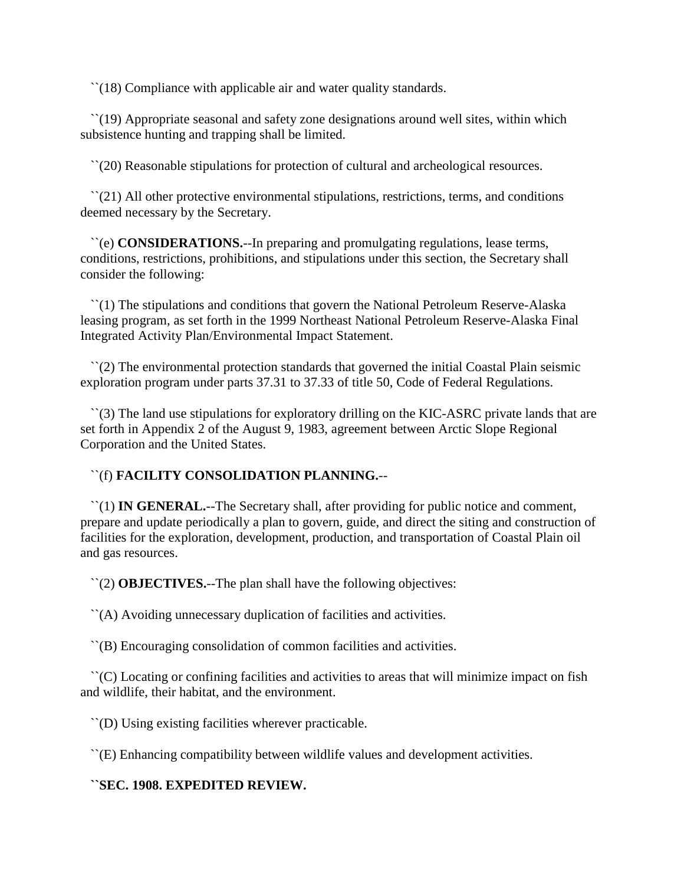``(18) Compliance with applicable air and water quality standards.

 ``(19) Appropriate seasonal and safety zone designations around well sites, within which subsistence hunting and trapping shall be limited.

``(20) Reasonable stipulations for protection of cultural and archeological resources.

 ``(21) All other protective environmental stipulations, restrictions, terms, and conditions deemed necessary by the Secretary.

 ``(e) **CONSIDERATIONS.**--In preparing and promulgating regulations, lease terms, conditions, restrictions, prohibitions, and stipulations under this section, the Secretary shall consider the following:

 ``(1) The stipulations and conditions that govern the National Petroleum Reserve-Alaska leasing program, as set forth in the 1999 Northeast National Petroleum Reserve-Alaska Final Integrated Activity Plan/Environmental Impact Statement.

 ``(2) The environmental protection standards that governed the initial Coastal Plain seismic exploration program under parts 37.31 to 37.33 of title 50, Code of Federal Regulations.

 ``(3) The land use stipulations for exploratory drilling on the KIC-ASRC private lands that are set forth in Appendix 2 of the August 9, 1983, agreement between Arctic Slope Regional Corporation and the United States.

# ``(f) **FACILITY CONSOLIDATION PLANNING.**--

 ``(1) **IN GENERAL.**--The Secretary shall, after providing for public notice and comment, prepare and update periodically a plan to govern, guide, and direct the siting and construction of facilities for the exploration, development, production, and transportation of Coastal Plain oil and gas resources.

``(2) **OBJECTIVES.**--The plan shall have the following objectives:

``(A) Avoiding unnecessary duplication of facilities and activities.

``(B) Encouraging consolidation of common facilities and activities.

 ``(C) Locating or confining facilities and activities to areas that will minimize impact on fish and wildlife, their habitat, and the environment.

``(D) Using existing facilities wherever practicable.

``(E) Enhancing compatibility between wildlife values and development activities.

# **``SEC. 1908. EXPEDITED REVIEW.**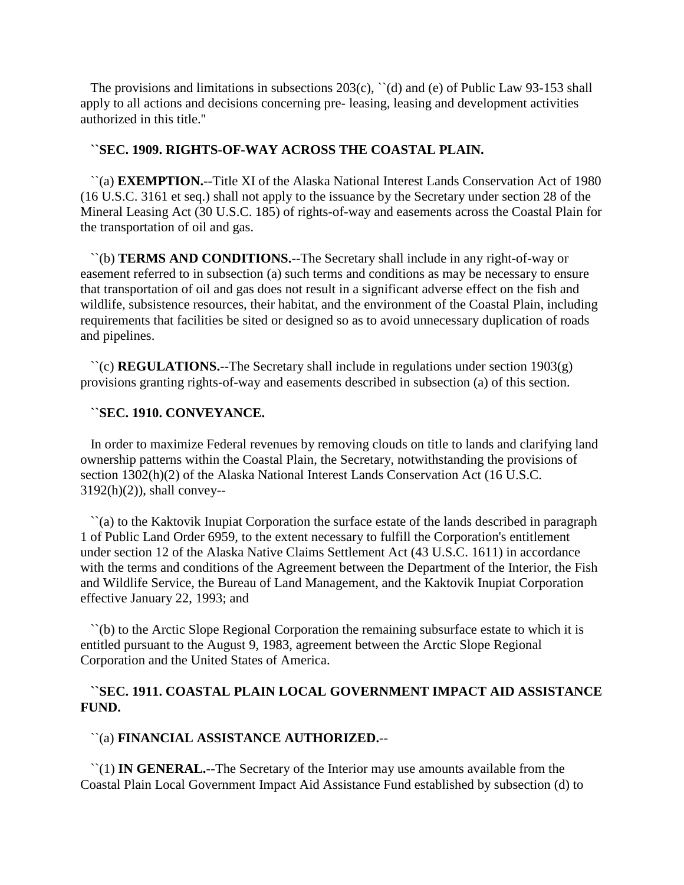The provisions and limitations in subsections  $203(c)$ ,  $\degree$  (d) and (e) of Public Law 93-153 shall apply to all actions and decisions concerning pre- leasing, leasing and development activities authorized in this title.''

## **``SEC. 1909. RIGHTS-OF-WAY ACROSS THE COASTAL PLAIN.**

 ``(a) **EXEMPTION.**--Title XI of the Alaska National Interest Lands Conservation Act of 1980 (16 U.S.C. 3161 et seq.) shall not apply to the issuance by the Secretary under section 28 of the Mineral Leasing Act (30 U.S.C. 185) of rights-of-way and easements across the Coastal Plain for the transportation of oil and gas.

 ``(b) **TERMS AND CONDITIONS.**--The Secretary shall include in any right-of-way or easement referred to in subsection (a) such terms and conditions as may be necessary to ensure that transportation of oil and gas does not result in a significant adverse effect on the fish and wildlife, subsistence resources, their habitat, and the environment of the Coastal Plain, including requirements that facilities be sited or designed so as to avoid unnecessary duplication of roads and pipelines.

 ``(c) **REGULATIONS.**--The Secretary shall include in regulations under section 1903(g) provisions granting rights-of-way and easements described in subsection (a) of this section.

#### **``SEC. 1910. CONVEYANCE.**

 In order to maximize Federal revenues by removing clouds on title to lands and clarifying land ownership patterns within the Coastal Plain, the Secretary, notwithstanding the provisions of section 1302(h)(2) of the Alaska National Interest Lands Conservation Act (16 U.S.C.  $3192(h)(2)$ ), shall convey--

 ``(a) to the Kaktovik Inupiat Corporation the surface estate of the lands described in paragraph 1 of Public Land Order 6959, to the extent necessary to fulfill the Corporation's entitlement under section 12 of the Alaska Native Claims Settlement Act (43 U.S.C. 1611) in accordance with the terms and conditions of the Agreement between the Department of the Interior, the Fish and Wildlife Service, the Bureau of Land Management, and the Kaktovik Inupiat Corporation effective January 22, 1993; and

 ``(b) to the Arctic Slope Regional Corporation the remaining subsurface estate to which it is entitled pursuant to the August 9, 1983, agreement between the Arctic Slope Regional Corporation and the United States of America.

# **``SEC. 1911. COASTAL PLAIN LOCAL GOVERNMENT IMPACT AID ASSISTANCE FUND.**

#### ``(a) **FINANCIAL ASSISTANCE AUTHORIZED.**--

 ``(1) **IN GENERAL.**--The Secretary of the Interior may use amounts available from the Coastal Plain Local Government Impact Aid Assistance Fund established by subsection (d) to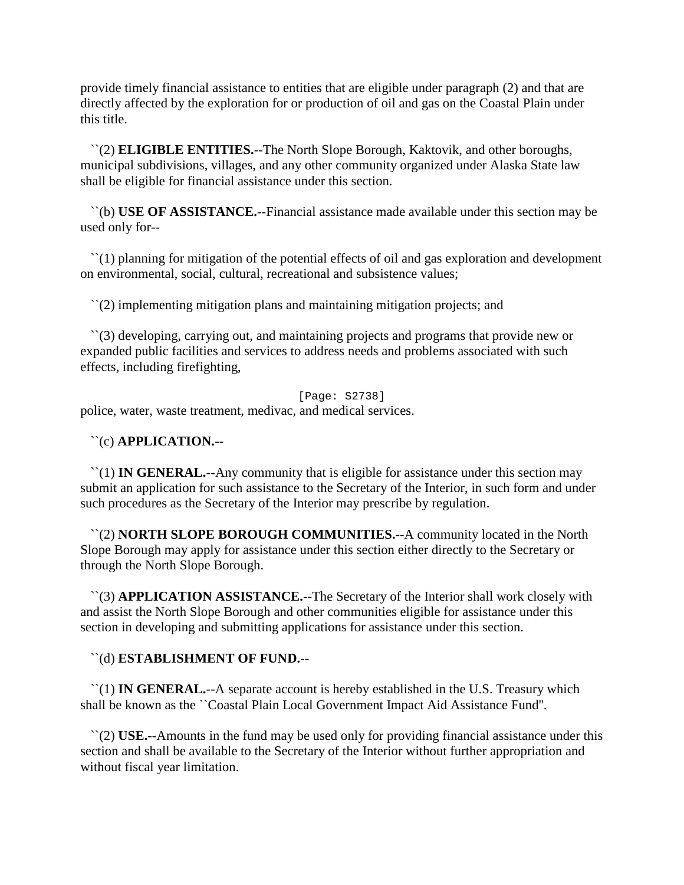provide timely financial assistance to entities that are eligible under paragraph (2) and that are directly affected by the exploration for or production of oil and gas on the Coastal Plain under this title.

 ``(2) **ELIGIBLE ENTITIES.**--The North Slope Borough, Kaktovik, and other boroughs, municipal subdivisions, villages, and any other community organized under Alaska State law shall be eligible for financial assistance under this section.

 ``(b) **USE OF ASSISTANCE.**--Financial assistance made available under this section may be used only for--

 ``(1) planning for mitigation of the potential effects of oil and gas exploration and development on environmental, social, cultural, recreational and subsistence values;

``(2) implementing mitigation plans and maintaining mitigation projects; and

 ``(3) developing, carrying out, and maintaining projects and programs that provide new or expanded public facilities and services to address needs and problems associated with such effects, including firefighting,

[Page: S2738]

police, water, waste treatment, medivac, and medical services.

#### ``(c) **APPLICATION.--**

 ``(1) **IN GENERAL.**--Any community that is eligible for assistance under this section may submit an application for such assistance to the Secretary of the Interior, in such form and under such procedures as the Secretary of the Interior may prescribe by regulation.

 ``(2) **NORTH SLOPE BOROUGH COMMUNITIES.**--A community located in the North Slope Borough may apply for assistance under this section either directly to the Secretary or through the North Slope Borough.

 ``(3) **APPLICATION ASSISTANCE.**--The Secretary of the Interior shall work closely with and assist the North Slope Borough and other communities eligible for assistance under this section in developing and submitting applications for assistance under this section.

# ``(d) **ESTABLISHMENT OF FUND.**--

 ``(1) **IN GENERAL.**--A separate account is hereby established in the U.S. Treasury which shall be known as the ``Coastal Plain Local Government Impact Aid Assistance Fund''.

 ``(2) **USE.**--Amounts in the fund may be used only for providing financial assistance under this section and shall be available to the Secretary of the Interior without further appropriation and without fiscal year limitation.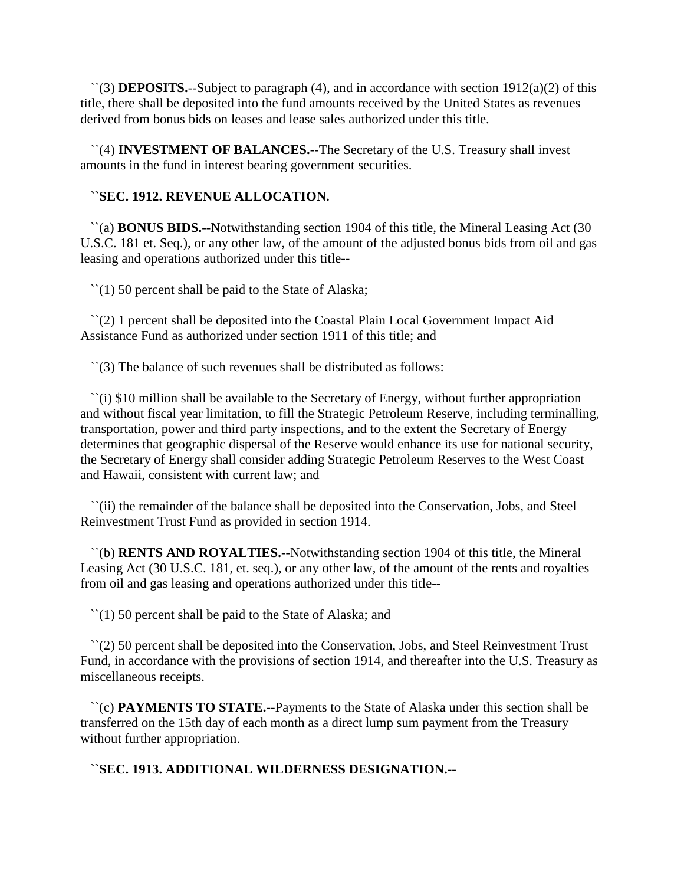``(3) **DEPOSITS.**--Subject to paragraph (4), and in accordance with section 1912(a)(2) of this title, there shall be deposited into the fund amounts received by the United States as revenues derived from bonus bids on leases and lease sales authorized under this title.

 ``(4) **INVESTMENT OF BALANCES.**--The Secretary of the U.S. Treasury shall invest amounts in the fund in interest bearing government securities.

# **``SEC. 1912. REVENUE ALLOCATION.**

 ``(a) **BONUS BIDS.**--Notwithstanding section 1904 of this title, the Mineral Leasing Act (30 U.S.C. 181 et. Seq.), or any other law, of the amount of the adjusted bonus bids from oil and gas leasing and operations authorized under this title--

``(1) 50 percent shall be paid to the State of Alaska;

 ``(2) 1 percent shall be deposited into the Coastal Plain Local Government Impact Aid Assistance Fund as authorized under section 1911 of this title; and

``(3) The balance of such revenues shall be distributed as follows:

 ``(i) \$10 million shall be available to the Secretary of Energy, without further appropriation and without fiscal year limitation, to fill the Strategic Petroleum Reserve, including terminalling, transportation, power and third party inspections, and to the extent the Secretary of Energy determines that geographic dispersal of the Reserve would enhance its use for national security, the Secretary of Energy shall consider adding Strategic Petroleum Reserves to the West Coast and Hawaii, consistent with current law; and

 ``(ii) the remainder of the balance shall be deposited into the Conservation, Jobs, and Steel Reinvestment Trust Fund as provided in section 1914.

 ``(b) **RENTS AND ROYALTIES.**--Notwithstanding section 1904 of this title, the Mineral Leasing Act (30 U.S.C. 181, et. seq.), or any other law, of the amount of the rents and royalties from oil and gas leasing and operations authorized under this title--

``(1) 50 percent shall be paid to the State of Alaska; and

 ``(2) 50 percent shall be deposited into the Conservation, Jobs, and Steel Reinvestment Trust Fund, in accordance with the provisions of section 1914, and thereafter into the U.S. Treasury as miscellaneous receipts.

 ``(c) **PAYMENTS TO STATE.**--Payments to the State of Alaska under this section shall be transferred on the 15th day of each month as a direct lump sum payment from the Treasury without further appropriation.

**``SEC. 1913. ADDITIONAL WILDERNESS DESIGNATION.--**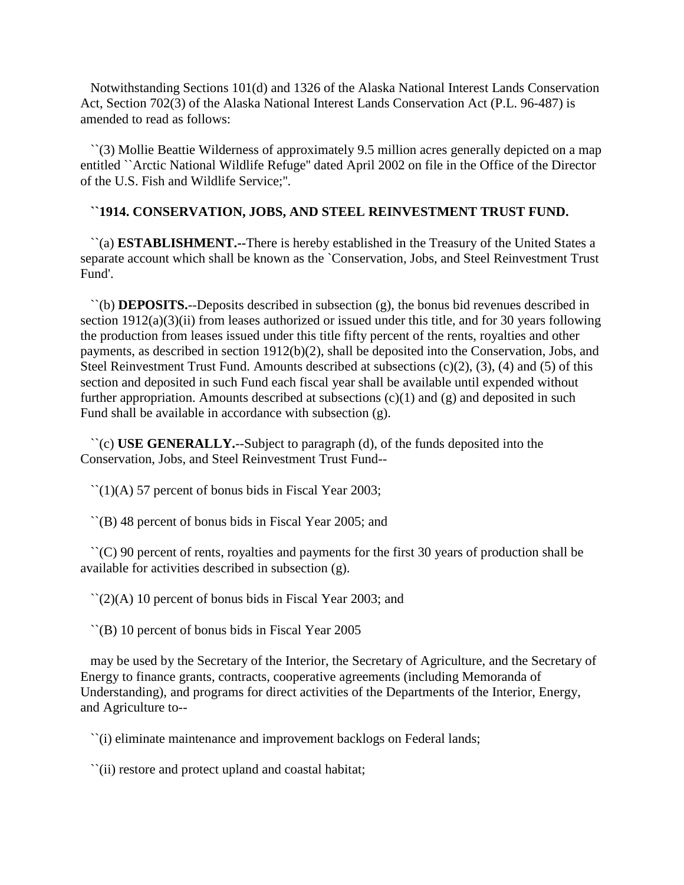Notwithstanding Sections 101(d) and 1326 of the Alaska National Interest Lands Conservation Act, Section 702(3) of the Alaska National Interest Lands Conservation Act (P.L. 96-487) is amended to read as follows:

 ``(3) Mollie Beattie Wilderness of approximately 9.5 million acres generally depicted on a map entitled ``Arctic National Wildlife Refuge'' dated April 2002 on file in the Office of the Director of the U.S. Fish and Wildlife Service;''.

# **``1914. CONSERVATION, JOBS, AND STEEL REINVESTMENT TRUST FUND.**

 ``(a) **ESTABLISHMENT.--**There is hereby established in the Treasury of the United States a separate account which shall be known as the `Conservation, Jobs, and Steel Reinvestment Trust Fund'.

 ``(b) **DEPOSITS.**--Deposits described in subsection (g), the bonus bid revenues described in section 1912(a)(3)(ii) from leases authorized or issued under this title, and for 30 years following the production from leases issued under this title fifty percent of the rents, royalties and other payments, as described in section 1912(b)(2), shall be deposited into the Conservation, Jobs, and Steel Reinvestment Trust Fund. Amounts described at subsections (c)(2), (3), (4) and (5) of this section and deposited in such Fund each fiscal year shall be available until expended without further appropriation. Amounts described at subsections  $(c)(1)$  and  $(g)$  and deposited in such Fund shall be available in accordance with subsection (g).

 ``(c) **USE GENERALLY.**--Subject to paragraph (d), of the funds deposited into the Conservation, Jobs, and Steel Reinvestment Trust Fund--

 $\lceil (1)(A) \rceil$  percent of bonus bids in Fiscal Year 2003;

``(B) 48 percent of bonus bids in Fiscal Year 2005; and

 $\Gamma(C)$  90 percent of rents, royalties and payments for the first 30 years of production shall be available for activities described in subsection (g).

 $\lceil (2)(A) 10 \rceil$  percent of bonus bids in Fiscal Year 2003; and

``(B) 10 percent of bonus bids in Fiscal Year 2005

 may be used by the Secretary of the Interior, the Secretary of Agriculture, and the Secretary of Energy to finance grants, contracts, cooperative agreements (including Memoranda of Understanding), and programs for direct activities of the Departments of the Interior, Energy, and Agriculture to--

``(i) eliminate maintenance and improvement backlogs on Federal lands;

``(ii) restore and protect upland and coastal habitat;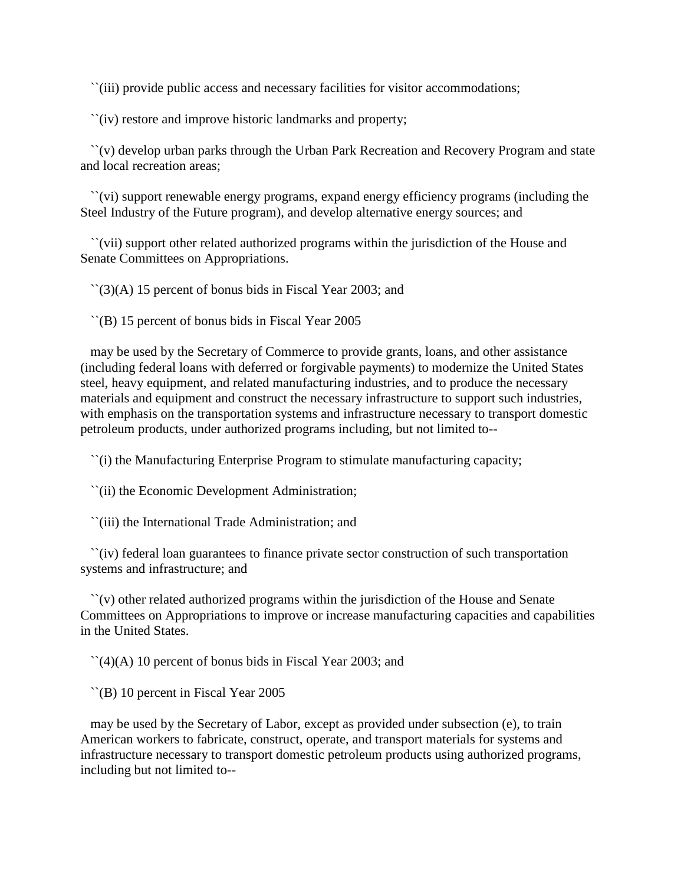``(iii) provide public access and necessary facilities for visitor accommodations;

``(iv) restore and improve historic landmarks and property;

 ``(v) develop urban parks through the Urban Park Recreation and Recovery Program and state and local recreation areas;

 ``(vi) support renewable energy programs, expand energy efficiency programs (including the Steel Industry of the Future program), and develop alternative energy sources; and

 ``(vii) support other related authorized programs within the jurisdiction of the House and Senate Committees on Appropriations.

 $\lq(3)$ (A) 15 percent of bonus bids in Fiscal Year 2003; and

``(B) 15 percent of bonus bids in Fiscal Year 2005

 may be used by the Secretary of Commerce to provide grants, loans, and other assistance (including federal loans with deferred or forgivable payments) to modernize the United States steel, heavy equipment, and related manufacturing industries, and to produce the necessary materials and equipment and construct the necessary infrastructure to support such industries, with emphasis on the transportation systems and infrastructure necessary to transport domestic petroleum products, under authorized programs including, but not limited to--

``(i) the Manufacturing Enterprise Program to stimulate manufacturing capacity;

``(ii) the Economic Development Administration;

``(iii) the International Trade Administration; and

 ``(iv) federal loan guarantees to finance private sector construction of such transportation systems and infrastructure; and

 ``(v) other related authorized programs within the jurisdiction of the House and Senate Committees on Appropriations to improve or increase manufacturing capacities and capabilities in the United States.

 $\lceil (4)(A) 10 \rceil$  percent of bonus bids in Fiscal Year 2003; and

``(B) 10 percent in Fiscal Year 2005

 may be used by the Secretary of Labor, except as provided under subsection (e), to train American workers to fabricate, construct, operate, and transport materials for systems and infrastructure necessary to transport domestic petroleum products using authorized programs, including but not limited to--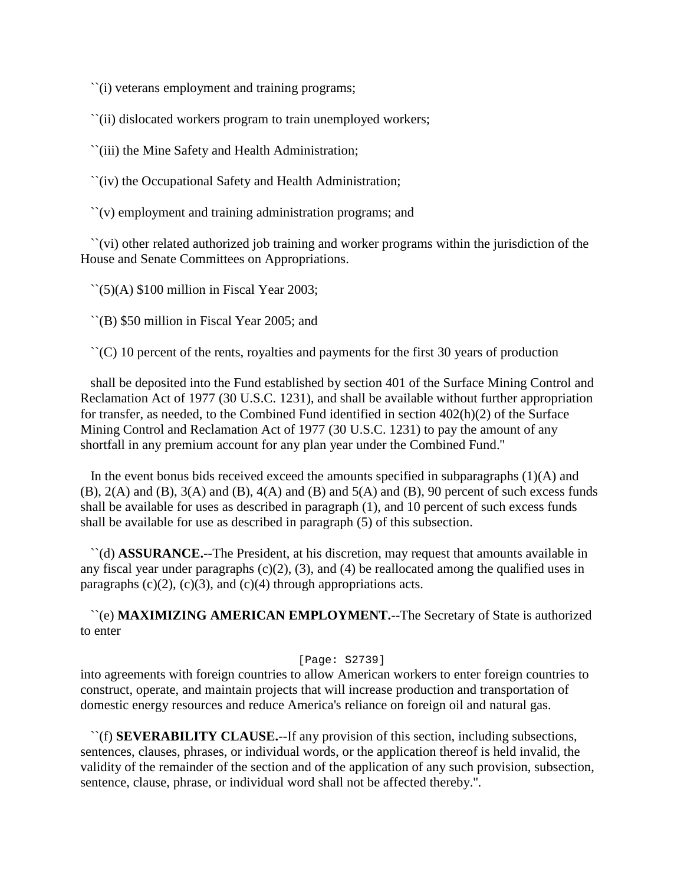``(i) veterans employment and training programs;

``(ii) dislocated workers program to train unemployed workers;

``(iii) the Mine Safety and Health Administration;

``(iv) the Occupational Safety and Health Administration;

``(v) employment and training administration programs; and

 ``(vi) other related authorized job training and worker programs within the jurisdiction of the House and Senate Committees on Appropriations.

 $\Gamma(5)$ (A) \$100 million in Fiscal Year 2003;

``(B) \$50 million in Fiscal Year 2005; and

 $\Gamma(C)$  10 percent of the rents, royalties and payments for the first 30 years of production

 shall be deposited into the Fund established by section 401 of the Surface Mining Control and Reclamation Act of 1977 (30 U.S.C. 1231), and shall be available without further appropriation for transfer, as needed, to the Combined Fund identified in section 402(h)(2) of the Surface Mining Control and Reclamation Act of 1977 (30 U.S.C. 1231) to pay the amount of any shortfall in any premium account for any plan year under the Combined Fund.''

In the event bonus bids received exceed the amounts specified in subparagraphs  $(1)(A)$  and  $(B)$ ,  $2(A)$  and  $(B)$ ,  $3(A)$  and  $(B)$ ,  $4(A)$  and  $(B)$  and  $5(A)$  and  $(B)$ ,  $90$  percent of such excess funds shall be available for uses as described in paragraph (1), and 10 percent of such excess funds shall be available for use as described in paragraph (5) of this subsection.

 ``(d) **ASSURANCE.**--The President, at his discretion, may request that amounts available in any fiscal year under paragraphs  $(c)(2)$ ,  $(3)$ , and  $(4)$  be reallocated among the qualified uses in paragraphs  $(c)(2)$ ,  $(c)(3)$ , and  $(c)(4)$  through appropriations acts.

 ``(e) **MAXIMIZING AMERICAN EMPLOYMENT.**--The Secretary of State is authorized to enter

### [Page: S2739]

into agreements with foreign countries to allow American workers to enter foreign countries to construct, operate, and maintain projects that will increase production and transportation of domestic energy resources and reduce America's reliance on foreign oil and natural gas.

 ``(f) **SEVERABILITY CLAUSE.**--If any provision of this section, including subsections, sentences, clauses, phrases, or individual words, or the application thereof is held invalid, the validity of the remainder of the section and of the application of any such provision, subsection, sentence, clause, phrase, or individual word shall not be affected thereby.''.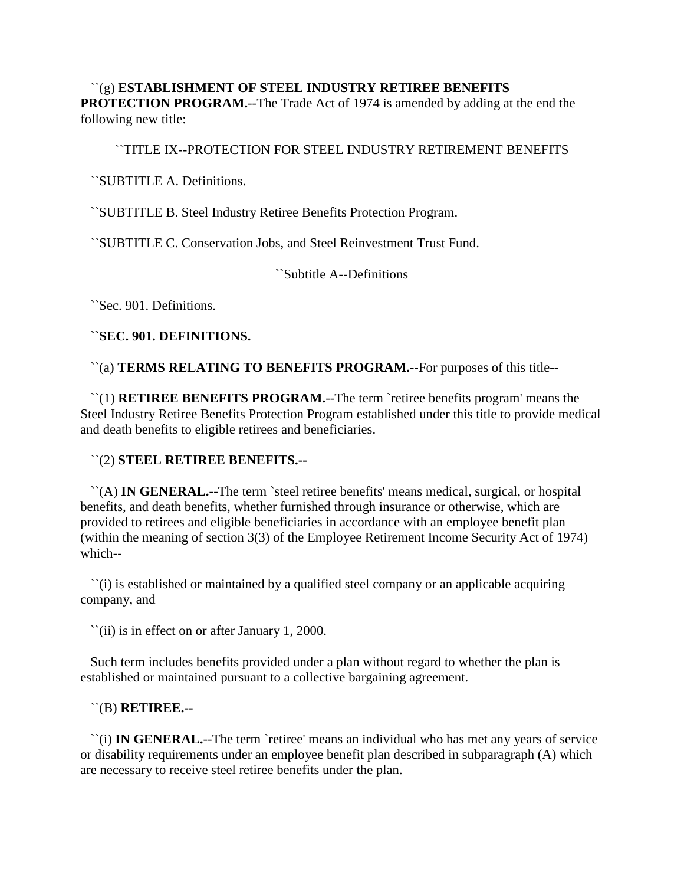``(g) **ESTABLISHMENT OF STEEL INDUSTRY RETIREE BENEFITS PROTECTION PROGRAM.**--The Trade Act of 1974 is amended by adding at the end the following new title:

#### ``TITLE IX--PROTECTION FOR STEEL INDUSTRY RETIREMENT BENEFITS

``SUBTITLE A. Definitions.

``SUBTITLE B. Steel Industry Retiree Benefits Protection Program.

``SUBTITLE C. Conservation Jobs, and Steel Reinvestment Trust Fund.

``Subtitle A--Definitions

``Sec. 901. Definitions.

#### **``SEC. 901. DEFINITIONS.**

``(a) **TERMS RELATING TO BENEFITS PROGRAM.--**For purposes of this title--

 ``(1) **RETIREE BENEFITS PROGRAM.**--The term `retiree benefits program' means the Steel Industry Retiree Benefits Protection Program established under this title to provide medical and death benefits to eligible retirees and beneficiaries.

# ``(2) **STEEL RETIREE BENEFITS.--**

 ``(A) **IN GENERAL.**--The term `steel retiree benefits' means medical, surgical, or hospital benefits, and death benefits, whether furnished through insurance or otherwise, which are provided to retirees and eligible beneficiaries in accordance with an employee benefit plan (within the meaning of section 3(3) of the Employee Retirement Income Security Act of 1974) which--

 ``(i) is established or maintained by a qualified steel company or an applicable acquiring company, and

``(ii) is in effect on or after January 1, 2000.

 Such term includes benefits provided under a plan without regard to whether the plan is established or maintained pursuant to a collective bargaining agreement.

#### ``(B) **RETIREE.--**

 ``(i) **IN GENERAL.**--The term `retiree' means an individual who has met any years of service or disability requirements under an employee benefit plan described in subparagraph (A) which are necessary to receive steel retiree benefits under the plan.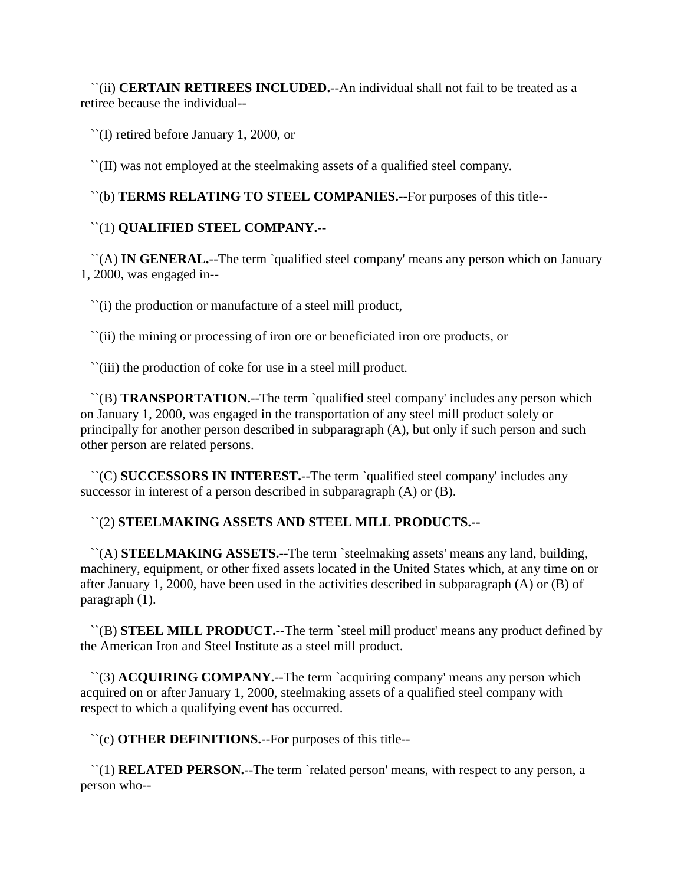``(ii) **CERTAIN RETIREES INCLUDED.**--An individual shall not fail to be treated as a retiree because the individual--

``(I) retired before January 1, 2000, or

``(II) was not employed at the steelmaking assets of a qualified steel company.

``(b) **TERMS RELATING TO STEEL COMPANIES.**--For purposes of this title--

# ``(1) **QUALIFIED STEEL COMPANY.**--

 ``(A) **IN GENERAL.**--The term `qualified steel company' means any person which on January 1, 2000, was engaged in--

``(i) the production or manufacture of a steel mill product,

``(ii) the mining or processing of iron ore or beneficiated iron ore products, or

``(iii) the production of coke for use in a steel mill product.

 ``(B) **TRANSPORTATION.**--The term `qualified steel company' includes any person which on January 1, 2000, was engaged in the transportation of any steel mill product solely or principally for another person described in subparagraph (A), but only if such person and such other person are related persons.

 ``(C) **SUCCESSORS IN INTEREST.**--The term `qualified steel company' includes any successor in interest of a person described in subparagraph (A) or (B).

# ``(2) **STEELMAKING ASSETS AND STEEL MILL PRODUCTS.--**

 ``(A) **STEELMAKING ASSETS.**--The term `steelmaking assets' means any land, building, machinery, equipment, or other fixed assets located in the United States which, at any time on or after January 1, 2000, have been used in the activities described in subparagraph (A) or (B) of paragraph (1).

 ``(B) **STEEL MILL PRODUCT.**--The term `steel mill product' means any product defined by the American Iron and Steel Institute as a steel mill product.

 ``(3) **ACQUIRING COMPANY.**--The term `acquiring company' means any person which acquired on or after January 1, 2000, steelmaking assets of a qualified steel company with respect to which a qualifying event has occurred.

``(c) **OTHER DEFINITIONS.**--For purposes of this title--

 ``(1) **RELATED PERSON.**--The term `related person' means, with respect to any person, a person who--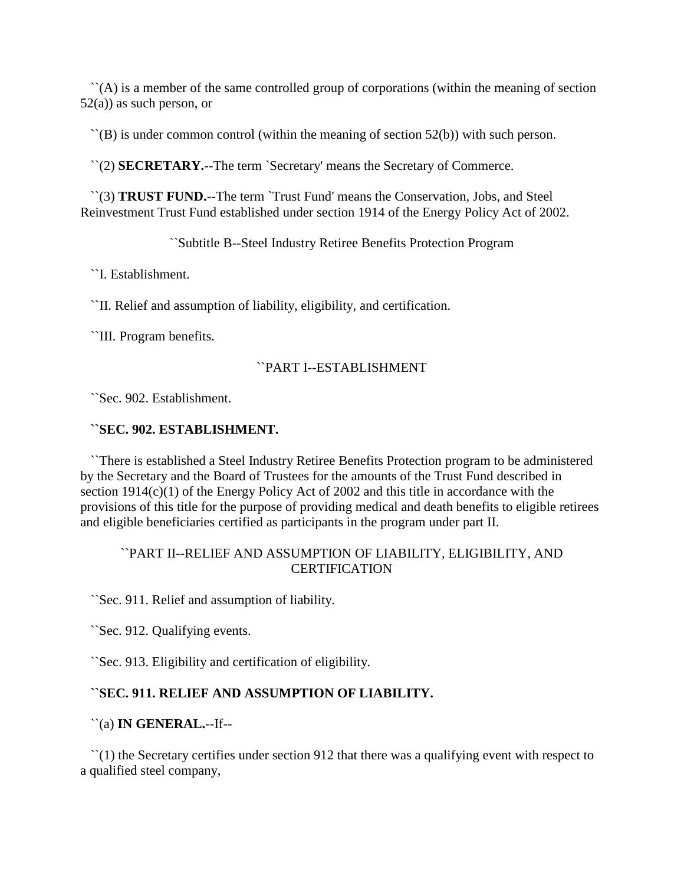``(A) is a member of the same controlled group of corporations (within the meaning of section  $52(a)$ ) as such person, or

 $\Gamma(\mathbf{B})$  is under common control (within the meaning of section 52(b)) with such person.

``(2) **SECRETARY.**--The term `Secretary' means the Secretary of Commerce.

 ``(3) **TRUST FUND.**--The term `Trust Fund' means the Conservation, Jobs, and Steel Reinvestment Trust Fund established under section 1914 of the Energy Policy Act of 2002.

``Subtitle B--Steel Industry Retiree Benefits Protection Program

``I. Establishment.

``II. Relief and assumption of liability, eligibility, and certification.

``III. Program benefits.

#### ``PART I--ESTABLISHMENT

``Sec. 902. Establishment.

#### **``SEC. 902. ESTABLISHMENT.**

 ``There is established a Steel Industry Retiree Benefits Protection program to be administered by the Secretary and the Board of Trustees for the amounts of the Trust Fund described in section 1914(c)(1) of the Energy Policy Act of 2002 and this title in accordance with the provisions of this title for the purpose of providing medical and death benefits to eligible retirees and eligible beneficiaries certified as participants in the program under part II.

# ``PART II--RELIEF AND ASSUMPTION OF LIABILITY, ELIGIBILITY, AND **CERTIFICATION**

``Sec. 911. Relief and assumption of liability.

``Sec. 912. Qualifying events.

``Sec. 913. Eligibility and certification of eligibility.

# **``SEC. 911. RELIEF AND ASSUMPTION OF LIABILITY.**

#### ``(a) **IN GENERAL.**--If--

 ``(1) the Secretary certifies under section 912 that there was a qualifying event with respect to a qualified steel company,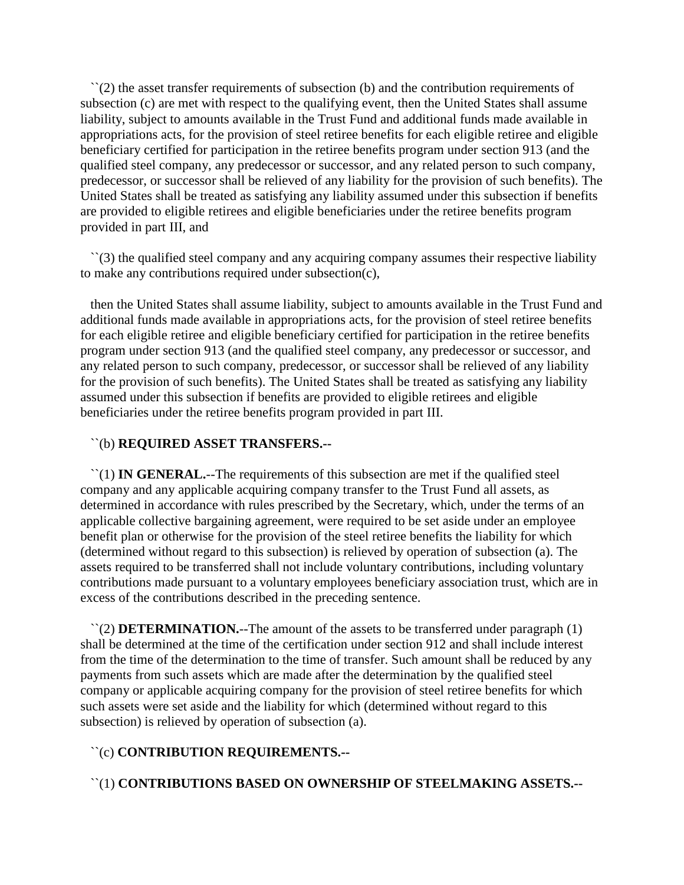$\Gamma(2)$  the asset transfer requirements of subsection (b) and the contribution requirements of subsection (c) are met with respect to the qualifying event, then the United States shall assume liability, subject to amounts available in the Trust Fund and additional funds made available in appropriations acts, for the provision of steel retiree benefits for each eligible retiree and eligible beneficiary certified for participation in the retiree benefits program under section 913 (and the qualified steel company, any predecessor or successor, and any related person to such company, predecessor, or successor shall be relieved of any liability for the provision of such benefits). The United States shall be treated as satisfying any liability assumed under this subsection if benefits are provided to eligible retirees and eligible beneficiaries under the retiree benefits program provided in part III, and

 ``(3) the qualified steel company and any acquiring company assumes their respective liability to make any contributions required under subsection(c),

 then the United States shall assume liability, subject to amounts available in the Trust Fund and additional funds made available in appropriations acts, for the provision of steel retiree benefits for each eligible retiree and eligible beneficiary certified for participation in the retiree benefits program under section 913 (and the qualified steel company, any predecessor or successor, and any related person to such company, predecessor, or successor shall be relieved of any liability for the provision of such benefits). The United States shall be treated as satisfying any liability assumed under this subsection if benefits are provided to eligible retirees and eligible beneficiaries under the retiree benefits program provided in part III.

# ``(b) **REQUIRED ASSET TRANSFERS.--**

 ``(1) **IN GENERAL.**--The requirements of this subsection are met if the qualified steel company and any applicable acquiring company transfer to the Trust Fund all assets, as determined in accordance with rules prescribed by the Secretary, which, under the terms of an applicable collective bargaining agreement, were required to be set aside under an employee benefit plan or otherwise for the provision of the steel retiree benefits the liability for which (determined without regard to this subsection) is relieved by operation of subsection (a). The assets required to be transferred shall not include voluntary contributions, including voluntary contributions made pursuant to a voluntary employees beneficiary association trust, which are in excess of the contributions described in the preceding sentence.

 ``(2) **DETERMINATION.**--The amount of the assets to be transferred under paragraph (1) shall be determined at the time of the certification under section 912 and shall include interest from the time of the determination to the time of transfer. Such amount shall be reduced by any payments from such assets which are made after the determination by the qualified steel company or applicable acquiring company for the provision of steel retiree benefits for which such assets were set aside and the liability for which (determined without regard to this subsection) is relieved by operation of subsection (a).

# ``(c) **CONTRIBUTION REQUIREMENTS.--**

``(1) **CONTRIBUTIONS BASED ON OWNERSHIP OF STEELMAKING ASSETS.--**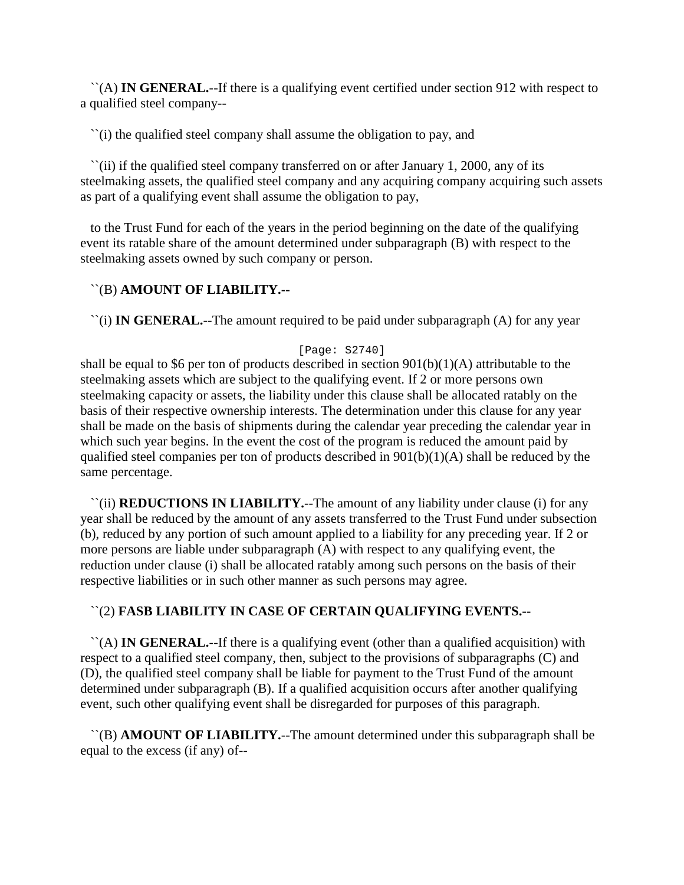``(A) **IN GENERAL.**--If there is a qualifying event certified under section 912 with respect to a qualified steel company--

``(i) the qualified steel company shall assume the obligation to pay, and

 ``(ii) if the qualified steel company transferred on or after January 1, 2000, any of its steelmaking assets, the qualified steel company and any acquiring company acquiring such assets as part of a qualifying event shall assume the obligation to pay,

 to the Trust Fund for each of the years in the period beginning on the date of the qualifying event its ratable share of the amount determined under subparagraph (B) with respect to the steelmaking assets owned by such company or person.

# ``(B) **AMOUNT OF LIABILITY.--**

``(i) **IN GENERAL.**--The amount required to be paid under subparagraph (A) for any year

# [Page: S2740]

shall be equal to \$6 per ton of products described in section  $901(b)(1)(A)$  attributable to the steelmaking assets which are subject to the qualifying event. If 2 or more persons own steelmaking capacity or assets, the liability under this clause shall be allocated ratably on the basis of their respective ownership interests. The determination under this clause for any year shall be made on the basis of shipments during the calendar year preceding the calendar year in which such year begins. In the event the cost of the program is reduced the amount paid by qualified steel companies per ton of products described in 901(b)(1)(A) shall be reduced by the same percentage.

 ``(ii) **REDUCTIONS IN LIABILITY.**--The amount of any liability under clause (i) for any year shall be reduced by the amount of any assets transferred to the Trust Fund under subsection (b), reduced by any portion of such amount applied to a liability for any preceding year. If 2 or more persons are liable under subparagraph (A) with respect to any qualifying event, the reduction under clause (i) shall be allocated ratably among such persons on the basis of their respective liabilities or in such other manner as such persons may agree.

# ``(2) **FASB LIABILITY IN CASE OF CERTAIN QUALIFYING EVENTS.--**

 ``(A) **IN GENERAL.**--If there is a qualifying event (other than a qualified acquisition) with respect to a qualified steel company, then, subject to the provisions of subparagraphs (C) and (D), the qualified steel company shall be liable for payment to the Trust Fund of the amount determined under subparagraph (B). If a qualified acquisition occurs after another qualifying event, such other qualifying event shall be disregarded for purposes of this paragraph.

 ``(B) **AMOUNT OF LIABILITY.**--The amount determined under this subparagraph shall be equal to the excess (if any) of--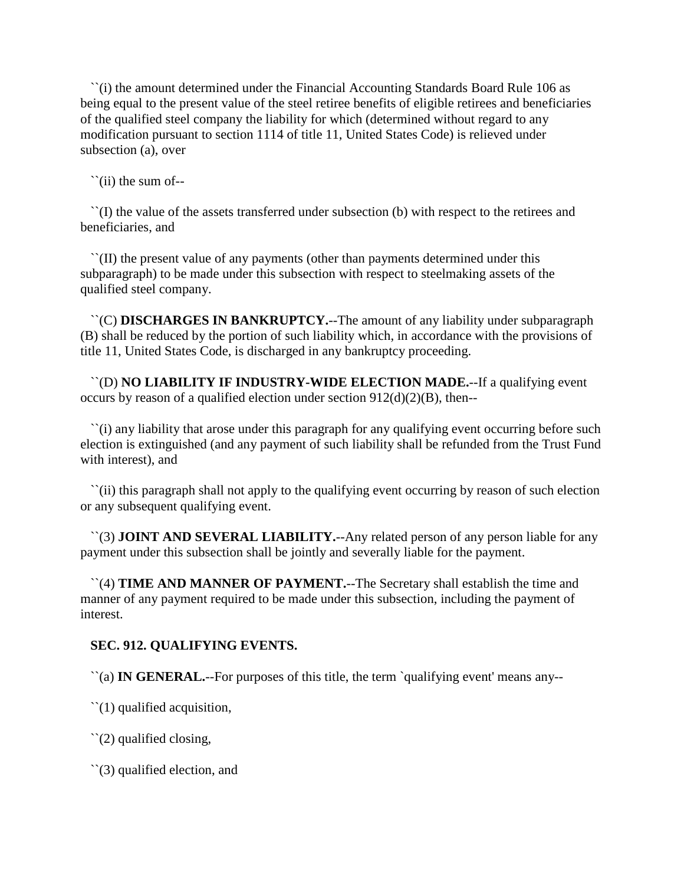``(i) the amount determined under the Financial Accounting Standards Board Rule 106 as being equal to the present value of the steel retiree benefits of eligible retirees and beneficiaries of the qualified steel company the liability for which (determined without regard to any modification pursuant to section 1114 of title 11, United States Code) is relieved under subsection (a), over

 $\tilde{\ }$ (ii) the sum of--

 ``(I) the value of the assets transferred under subsection (b) with respect to the retirees and beneficiaries, and

 ``(II) the present value of any payments (other than payments determined under this subparagraph) to be made under this subsection with respect to steelmaking assets of the qualified steel company.

 ``(C) **DISCHARGES IN BANKRUPTCY.**--The amount of any liability under subparagraph (B) shall be reduced by the portion of such liability which, in accordance with the provisions of title 11, United States Code, is discharged in any bankruptcy proceeding.

 ``(D) **NO LIABILITY IF INDUSTRY-WIDE ELECTION MADE.**--If a qualifying event occurs by reason of a qualified election under section  $912(d)(2)(B)$ , then--

 ``(i) any liability that arose under this paragraph for any qualifying event occurring before such election is extinguished (and any payment of such liability shall be refunded from the Trust Fund with interest), and

 ``(ii) this paragraph shall not apply to the qualifying event occurring by reason of such election or any subsequent qualifying event.

 ``(3) **JOINT AND SEVERAL LIABILITY.**--Any related person of any person liable for any payment under this subsection shall be jointly and severally liable for the payment.

 ``(4) **TIME AND MANNER OF PAYMENT.**--The Secretary shall establish the time and manner of any payment required to be made under this subsection, including the payment of interest.

# **SEC. 912. QUALIFYING EVENTS.**

``(a) **IN GENERAL.**--For purposes of this title, the term `qualifying event' means any--

 $\degree$ (1) qualified acquisition,

 $\degree$ (2) qualified closing,

``(3) qualified election, and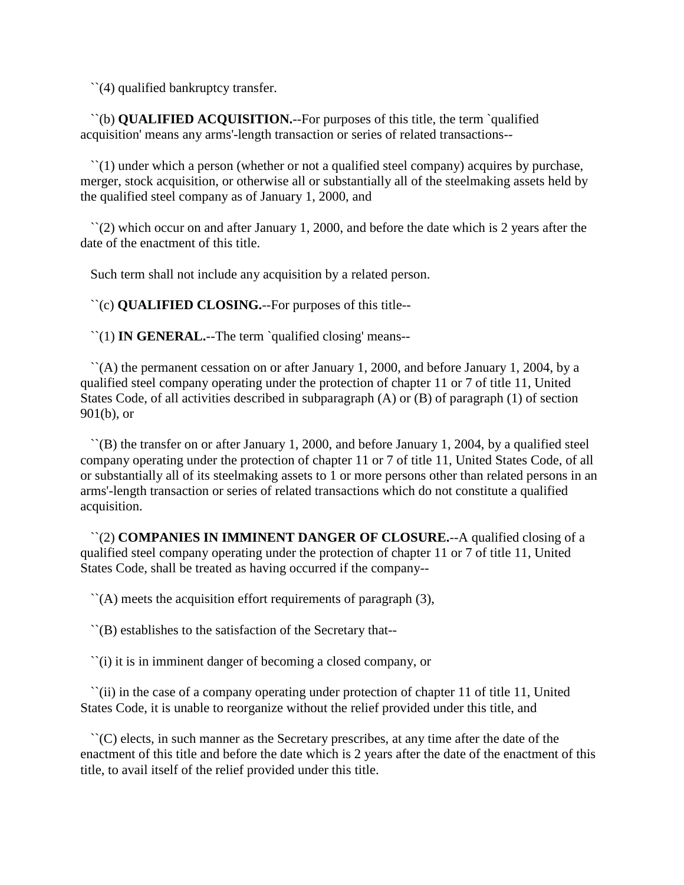``(4) qualified bankruptcy transfer.

 ``(b) **QUALIFIED ACQUISITION.**--For purposes of this title, the term `qualified acquisition' means any arms'-length transaction or series of related transactions--

 $\lq(1)$  under which a person (whether or not a qualified steel company) acquires by purchase, merger, stock acquisition, or otherwise all or substantially all of the steelmaking assets held by the qualified steel company as of January 1, 2000, and

 $\lq(2)$  which occur on and after January 1, 2000, and before the date which is 2 years after the date of the enactment of this title.

Such term shall not include any acquisition by a related person.

``(c) **QUALIFIED CLOSING.**--For purposes of this title--

``(1) **IN GENERAL.**--The term `qualified closing' means--

 $\lq (A)$  the permanent cessation on or after January 1, 2000, and before January 1, 2004, by a qualified steel company operating under the protection of chapter 11 or 7 of title 11, United States Code, of all activities described in subparagraph (A) or (B) of paragraph (1) of section 901(b), or

 ``(B) the transfer on or after January 1, 2000, and before January 1, 2004, by a qualified steel company operating under the protection of chapter 11 or 7 of title 11, United States Code, of all or substantially all of its steelmaking assets to 1 or more persons other than related persons in an arms'-length transaction or series of related transactions which do not constitute a qualified acquisition.

 ``(2) **COMPANIES IN IMMINENT DANGER OF CLOSURE.**--A qualified closing of a qualified steel company operating under the protection of chapter 11 or 7 of title 11, United States Code, shall be treated as having occurred if the company--

 $\Gamma(A)$  meets the acquisition effort requirements of paragraph (3),

``(B) establishes to the satisfaction of the Secretary that--

``(i) it is in imminent danger of becoming a closed company, or

 ``(ii) in the case of a company operating under protection of chapter 11 of title 11, United States Code, it is unable to reorganize without the relief provided under this title, and

 ``(C) elects, in such manner as the Secretary prescribes, at any time after the date of the enactment of this title and before the date which is 2 years after the date of the enactment of this title, to avail itself of the relief provided under this title.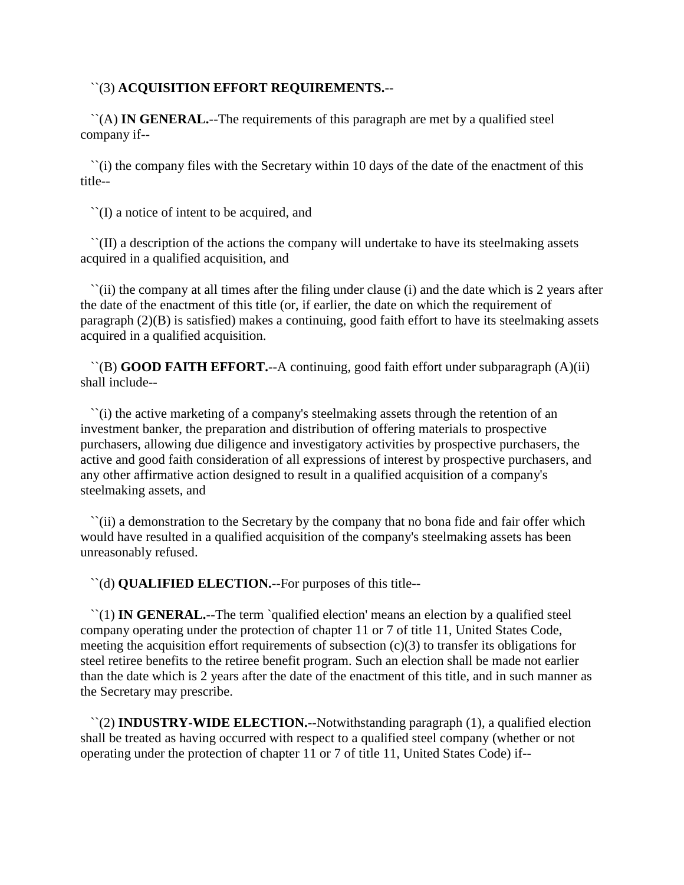## ``(3) **ACQUISITION EFFORT REQUIREMENTS.**--

 ``(A) **IN GENERAL.**--The requirements of this paragraph are met by a qualified steel company if--

 ``(i) the company files with the Secretary within 10 days of the date of the enactment of this title--

``(I) a notice of intent to be acquired, and

 ``(II) a description of the actions the company will undertake to have its steelmaking assets acquired in a qualified acquisition, and

 ``(ii) the company at all times after the filing under clause (i) and the date which is 2 years after the date of the enactment of this title (or, if earlier, the date on which the requirement of paragraph (2)(B) is satisfied) makes a continuing, good faith effort to have its steelmaking assets acquired in a qualified acquisition.

 ``(B) **GOOD FAITH EFFORT.**--A continuing, good faith effort under subparagraph (A)(ii) shall include--

 ``(i) the active marketing of a company's steelmaking assets through the retention of an investment banker, the preparation and distribution of offering materials to prospective purchasers, allowing due diligence and investigatory activities by prospective purchasers, the active and good faith consideration of all expressions of interest by prospective purchasers, and any other affirmative action designed to result in a qualified acquisition of a company's steelmaking assets, and

 ``(ii) a demonstration to the Secretary by the company that no bona fide and fair offer which would have resulted in a qualified acquisition of the company's steelmaking assets has been unreasonably refused.

``(d) **QUALIFIED ELECTION.**--For purposes of this title--

 ``(1) **IN GENERAL.**--The term `qualified election' means an election by a qualified steel company operating under the protection of chapter 11 or 7 of title 11, United States Code, meeting the acquisition effort requirements of subsection  $(c)(3)$  to transfer its obligations for steel retiree benefits to the retiree benefit program. Such an election shall be made not earlier than the date which is 2 years after the date of the enactment of this title, and in such manner as the Secretary may prescribe.

 ``(2) **INDUSTRY-WIDE ELECTION.**--Notwithstanding paragraph (1), a qualified election shall be treated as having occurred with respect to a qualified steel company (whether or not operating under the protection of chapter 11 or 7 of title 11, United States Code) if--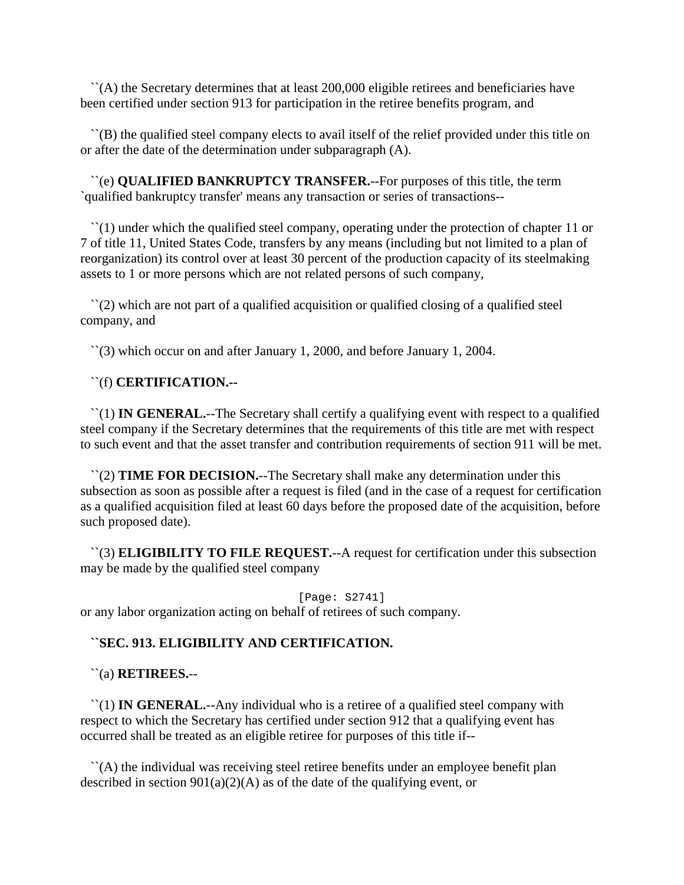``(A) the Secretary determines that at least 200,000 eligible retirees and beneficiaries have been certified under section 913 for participation in the retiree benefits program, and

 ``(B) the qualified steel company elects to avail itself of the relief provided under this title on or after the date of the determination under subparagraph (A).

 ``(e) **QUALIFIED BANKRUPTCY TRANSFER.**--For purposes of this title, the term `qualified bankruptcy transfer' means any transaction or series of transactions--

 $\lq(1)$  under which the qualified steel company, operating under the protection of chapter 11 or 7 of title 11, United States Code, transfers by any means (including but not limited to a plan of reorganization) its control over at least 30 percent of the production capacity of its steelmaking assets to 1 or more persons which are not related persons of such company,

 $\Gamma(2)$  which are not part of a qualified acquisition or qualified closing of a qualified steel company, and

``(3) which occur on and after January 1, 2000, and before January 1, 2004.

## ``(f) **CERTIFICATION.--**

 ``(1) **IN GENERAL.**--The Secretary shall certify a qualifying event with respect to a qualified steel company if the Secretary determines that the requirements of this title are met with respect to such event and that the asset transfer and contribution requirements of section 911 will be met.

 ``(2) **TIME FOR DECISION.**--The Secretary shall make any determination under this subsection as soon as possible after a request is filed (and in the case of a request for certification as a qualified acquisition filed at least 60 days before the proposed date of the acquisition, before such proposed date).

 ``(3) **ELIGIBILITY TO FILE REQUEST.**--A request for certification under this subsection may be made by the qualified steel company

[Page: S2741] or any labor organization acting on behalf of retirees of such company.

# **``SEC. 913. ELIGIBILITY AND CERTIFICATION.**

# ``(a) **RETIREES.**--

 ``(1) **IN GENERAL.**--Any individual who is a retiree of a qualified steel company with respect to which the Secretary has certified under section 912 that a qualifying event has occurred shall be treated as an eligible retiree for purposes of this title if--

 ``(A) the individual was receiving steel retiree benefits under an employee benefit plan described in section  $901(a)(2)(A)$  as of the date of the qualifying event, or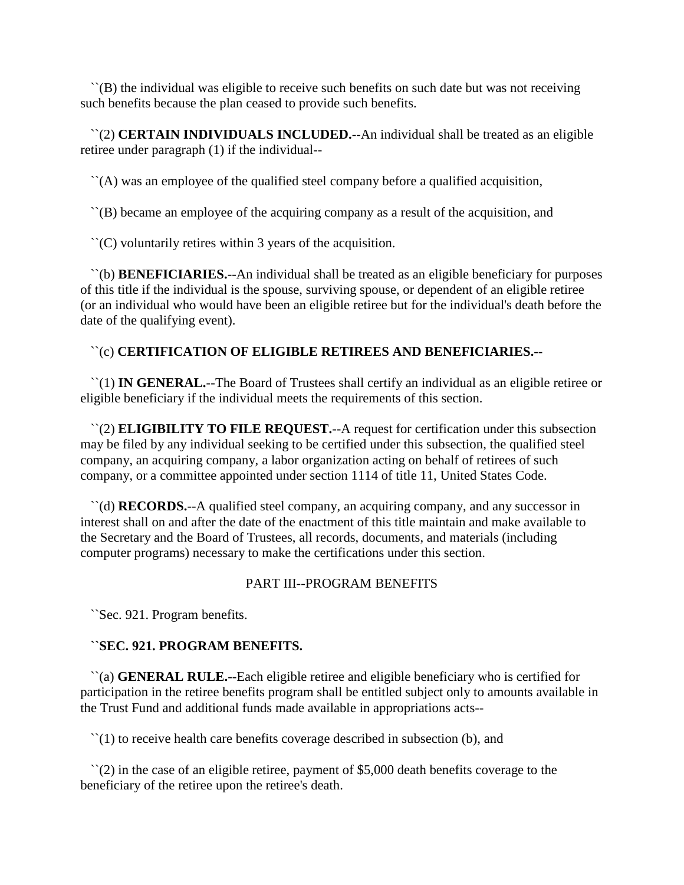``(B) the individual was eligible to receive such benefits on such date but was not receiving such benefits because the plan ceased to provide such benefits.

 ``(2) **CERTAIN INDIVIDUALS INCLUDED.**--An individual shall be treated as an eligible retiree under paragraph (1) if the individual--

``(A) was an employee of the qualified steel company before a qualified acquisition,

``(B) became an employee of the acquiring company as a result of the acquisition, and

``(C) voluntarily retires within 3 years of the acquisition.

 ``(b) **BENEFICIARIES.**--An individual shall be treated as an eligible beneficiary for purposes of this title if the individual is the spouse, surviving spouse, or dependent of an eligible retiree (or an individual who would have been an eligible retiree but for the individual's death before the date of the qualifying event).

# ``(c) **CERTIFICATION OF ELIGIBLE RETIREES AND BENEFICIARIES.**--

 ``(1) **IN GENERAL.**--The Board of Trustees shall certify an individual as an eligible retiree or eligible beneficiary if the individual meets the requirements of this section.

 ``(2) **ELIGIBILITY TO FILE REQUEST.**--A request for certification under this subsection may be filed by any individual seeking to be certified under this subsection, the qualified steel company, an acquiring company, a labor organization acting on behalf of retirees of such company, or a committee appointed under section 1114 of title 11, United States Code.

 ``(d) **RECORDS.**--A qualified steel company, an acquiring company, and any successor in interest shall on and after the date of the enactment of this title maintain and make available to the Secretary and the Board of Trustees, all records, documents, and materials (including computer programs) necessary to make the certifications under this section.

# PART III--PROGRAM BENEFITS

``Sec. 921. Program benefits.

# **``SEC. 921. PROGRAM BENEFITS.**

 ``(a) **GENERAL RULE.**--Each eligible retiree and eligible beneficiary who is certified for participation in the retiree benefits program shall be entitled subject only to amounts available in the Trust Fund and additional funds made available in appropriations acts--

``(1) to receive health care benefits coverage described in subsection (b), and

 ``(2) in the case of an eligible retiree, payment of \$5,000 death benefits coverage to the beneficiary of the retiree upon the retiree's death.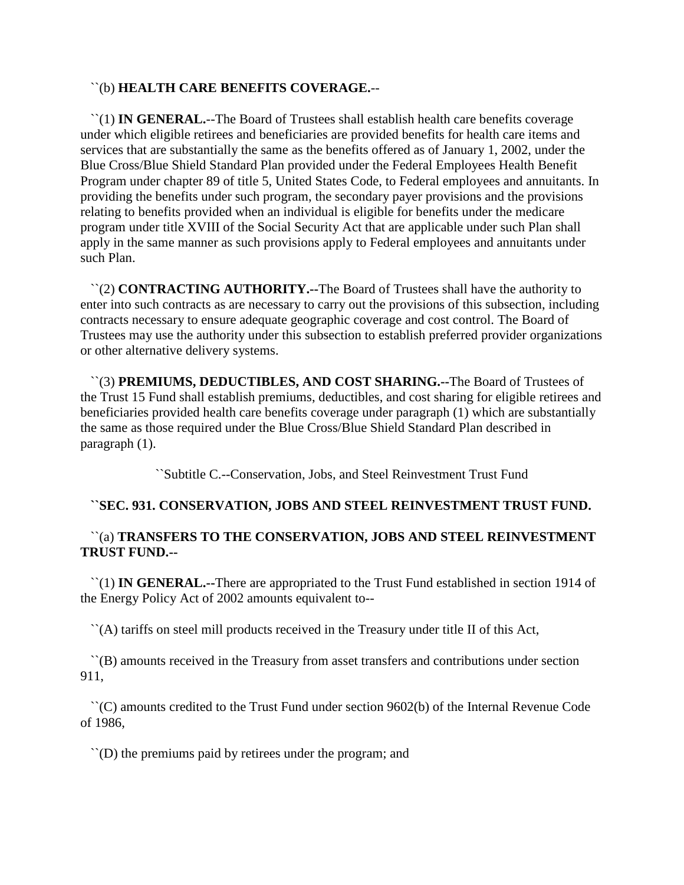## ``(b) **HEALTH CARE BENEFITS COVERAGE.**--

 ``(1) **IN GENERAL.**--The Board of Trustees shall establish health care benefits coverage under which eligible retirees and beneficiaries are provided benefits for health care items and services that are substantially the same as the benefits offered as of January 1, 2002, under the Blue Cross/Blue Shield Standard Plan provided under the Federal Employees Health Benefit Program under chapter 89 of title 5, United States Code, to Federal employees and annuitants. In providing the benefits under such program, the secondary payer provisions and the provisions relating to benefits provided when an individual is eligible for benefits under the medicare program under title XVIII of the Social Security Act that are applicable under such Plan shall apply in the same manner as such provisions apply to Federal employees and annuitants under such Plan.

 ``(2) **CONTRACTING AUTHORITY.--**The Board of Trustees shall have the authority to enter into such contracts as are necessary to carry out the provisions of this subsection, including contracts necessary to ensure adequate geographic coverage and cost control. The Board of Trustees may use the authority under this subsection to establish preferred provider organizations or other alternative delivery systems.

 ``(3) **PREMIUMS, DEDUCTIBLES, AND COST SHARING.--**The Board of Trustees of the Trust 15 Fund shall establish premiums, deductibles, and cost sharing for eligible retirees and beneficiaries provided health care benefits coverage under paragraph (1) which are substantially the same as those required under the Blue Cross/Blue Shield Standard Plan described in paragraph (1).

``Subtitle C.--Conservation, Jobs, and Steel Reinvestment Trust Fund

# **``SEC. 931. CONSERVATION, JOBS AND STEEL REINVESTMENT TRUST FUND.**

# ``(a) **TRANSFERS TO THE CONSERVATION, JOBS AND STEEL REINVESTMENT TRUST FUND.--**

 ``(1) **IN GENERAL.--**There are appropriated to the Trust Fund established in section 1914 of the Energy Policy Act of 2002 amounts equivalent to--

``(A) tariffs on steel mill products received in the Treasury under title II of this Act,

 ``(B) amounts received in the Treasury from asset transfers and contributions under section 911,

 ``(C) amounts credited to the Trust Fund under section 9602(b) of the Internal Revenue Code of 1986,

``(D) the premiums paid by retirees under the program; and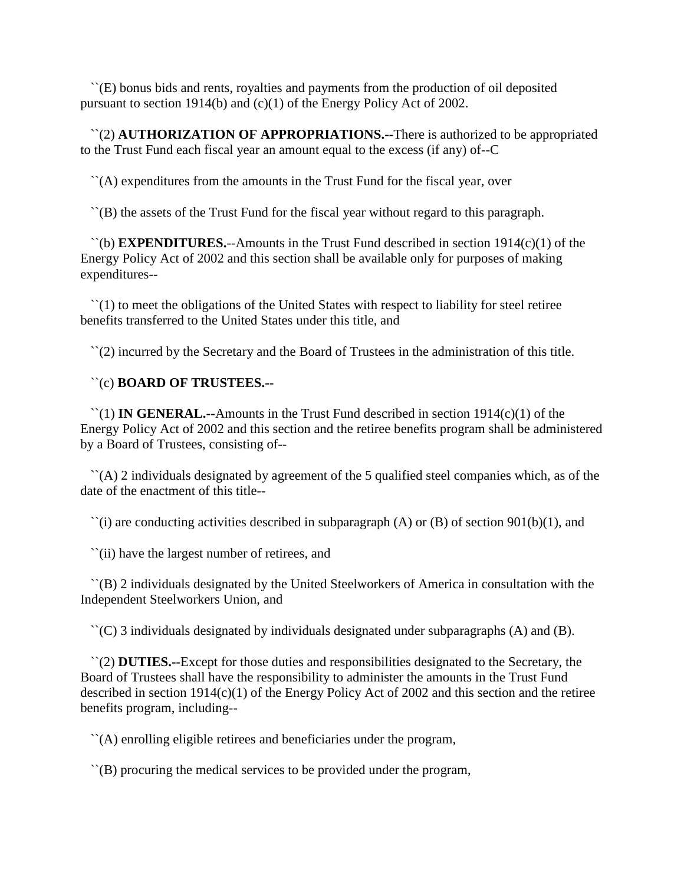``(E) bonus bids and rents, royalties and payments from the production of oil deposited pursuant to section 1914(b) and (c)(1) of the Energy Policy Act of 2002.

 ``(2) **AUTHORIZATION OF APPROPRIATIONS.--**There is authorized to be appropriated to the Trust Fund each fiscal year an amount equal to the excess (if any) of--C

``(A) expenditures from the amounts in the Trust Fund for the fiscal year, over

``(B) the assets of the Trust Fund for the fiscal year without regard to this paragraph.

 ``(b) **EXPENDITURES.**--Amounts in the Trust Fund described in section 1914(c)(1) of the Energy Policy Act of 2002 and this section shall be available only for purposes of making expenditures--

 $\lq(1)$  to meet the obligations of the United States with respect to liability for steel retiree benefits transferred to the United States under this title, and

``(2) incurred by the Secretary and the Board of Trustees in the administration of this title.

#### ``(c) **BOARD OF TRUSTEES.--**

 ``(1) **IN GENERAL.--**Amounts in the Trust Fund described in section 1914(c)(1) of the Energy Policy Act of 2002 and this section and the retiree benefits program shall be administered by a Board of Trustees, consisting of--

 $\hat{A}$  (A) 2 individuals designated by agreement of the 5 qualified steel companies which, as of the date of the enactment of this title--

 $\lq$ ) are conducting activities described in subparagraph (A) or (B) of section 901(b)(1), and

``(ii) have the largest number of retirees, and

 ``(B) 2 individuals designated by the United Steelworkers of America in consultation with the Independent Steelworkers Union, and

``(C) 3 individuals designated by individuals designated under subparagraphs (A) and (B).

 ``(2) **DUTIES.--**Except for those duties and responsibilities designated to the Secretary, the Board of Trustees shall have the responsibility to administer the amounts in the Trust Fund described in section 1914(c)(1) of the Energy Policy Act of 2002 and this section and the retiree benefits program, including--

``(A) enrolling eligible retirees and beneficiaries under the program,

``(B) procuring the medical services to be provided under the program,